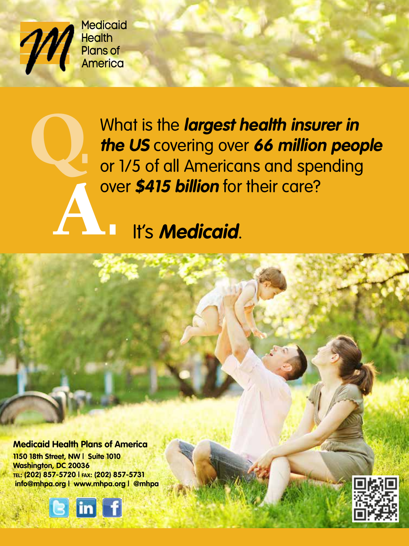

Q.

**Medicaid** Health Plans of America

> What is the **largest health insurer in the US** covering over **66 million people** or 1/5 of all Americans and spending over **\$415 billion** for their care?<br> **A. I.** It's **Medicaid**.

**Medicaid Health Plans of America 1150 18th Street, NW | Suite 1010 Washington, DC 20036 tel: (202) 857-5720 | fax: (202) 857-5731 info@mhpa.org | www.mhpa.org | @mhpa**



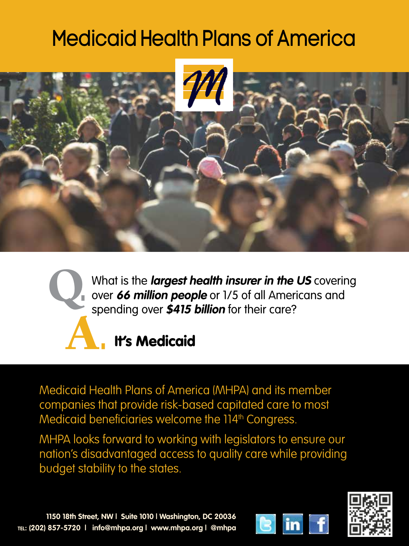## Medicaid Health Plans of America





What is the **largest health insurer in the US** covering over **66 million people** or 1/5 of all Americans and spending over **\$415 billion** for their care?

## **It's Medicaid**

Medicaid Health Plans of America (MHPA) and its member companies that provide risk-based capitated care to most Medicaid beneficiaries welcome the 114<sup>th</sup> Congress.

MHPA looks forward to working with legislators to ensure our nation's disadvantaged access to quality care while providing budget stability to the states.